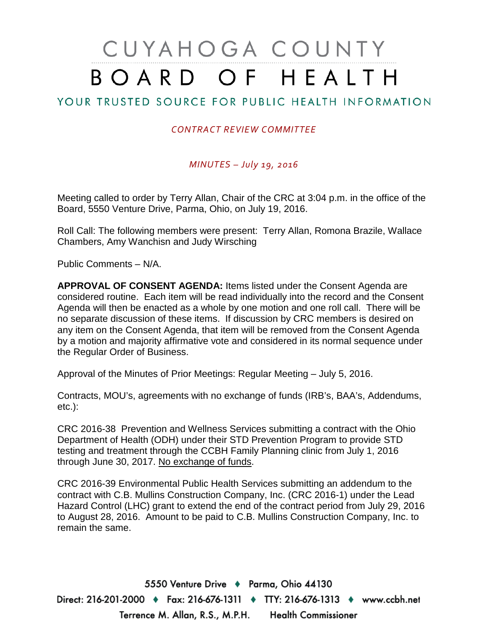# CUYAHOGA COUNTY BOARD OF HEALTH

# YOUR TRUSTED SOURCE FOR PUBLIC HEALTH INFORMATION

## *CONTRACT REVIEW COMMITTEE*

### *MINUTES – July 19, 2016*

Meeting called to order by Terry Allan, Chair of the CRC at 3:04 p.m. in the office of the Board, 5550 Venture Drive, Parma, Ohio, on July 19, 2016.

Roll Call: The following members were present: Terry Allan, Romona Brazile, Wallace Chambers, Amy Wanchisn and Judy Wirsching

Public Comments – N/A.

**APPROVAL OF CONSENT AGENDA:** Items listed under the Consent Agenda are considered routine. Each item will be read individually into the record and the Consent Agenda will then be enacted as a whole by one motion and one roll call. There will be no separate discussion of these items. If discussion by CRC members is desired on any item on the Consent Agenda, that item will be removed from the Consent Agenda by a motion and majority affirmative vote and considered in its normal sequence under the Regular Order of Business.

Approval of the Minutes of Prior Meetings: Regular Meeting – July 5, 2016.

Contracts, MOU's, agreements with no exchange of funds (IRB's, BAA's, Addendums, etc.):

CRC 2016-38 Prevention and Wellness Services submitting a contract with the Ohio Department of Health (ODH) under their STD Prevention Program to provide STD testing and treatment through the CCBH Family Planning clinic from July 1, 2016 through June 30, 2017. No exchange of funds.

CRC 2016-39 Environmental Public Health Services submitting an addendum to the contract with C.B. Mullins Construction Company, Inc. (CRC 2016-1) under the Lead Hazard Control (LHC) grant to extend the end of the contract period from July 29, 2016 to August 28, 2016. Amount to be paid to C.B. Mullins Construction Company, Inc. to remain the same.

5550 Venture Drive + Parma, Ohio 44130 Direct: 216-201-2000 ♦ Fax: 216-676-1311 ♦ TTY: 216-676-1313 ♦ www.ccbh.net Terrence M. Allan, R.S., M.P.H. Health Commissioner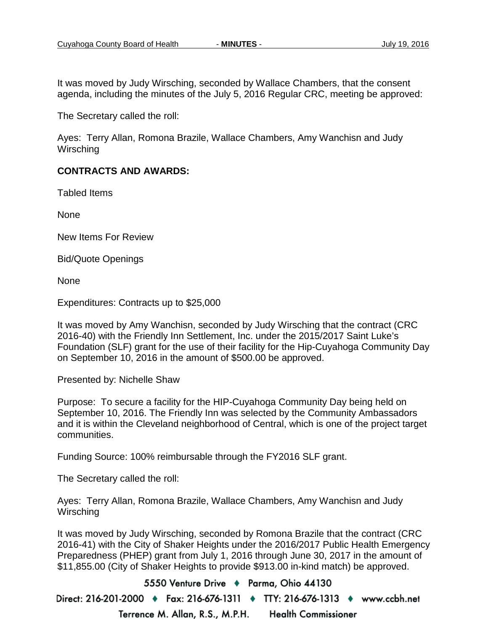It was moved by Judy Wirsching, seconded by Wallace Chambers, that the consent agenda, including the minutes of the July 5, 2016 Regular CRC, meeting be approved:

The Secretary called the roll:

Ayes: Terry Allan, Romona Brazile, Wallace Chambers, Amy Wanchisn and Judy **Wirsching** 

### **CONTRACTS AND AWARDS:**

Tabled Items

None

New Items For Review

Bid/Quote Openings

None

Expenditures: Contracts up to \$25,000

It was moved by Amy Wanchisn, seconded by Judy Wirsching that the contract (CRC 2016-40) with the Friendly Inn Settlement, Inc. under the 2015/2017 Saint Luke's Foundation (SLF) grant for the use of their facility for the Hip-Cuyahoga Community Day on September 10, 2016 in the amount of \$500.00 be approved.

Presented by: Nichelle Shaw

Purpose: To secure a facility for the HIP-Cuyahoga Community Day being held on September 10, 2016. The Friendly Inn was selected by the Community Ambassadors and it is within the Cleveland neighborhood of Central, which is one of the project target communities.

Funding Source: 100% reimbursable through the FY2016 SLF grant.

The Secretary called the roll:

Ayes: Terry Allan, Romona Brazile, Wallace Chambers, Amy Wanchisn and Judy **Wirsching** 

It was moved by Judy Wirsching, seconded by Romona Brazile that the contract (CRC 2016-41) with the City of Shaker Heights under the 2016/2017 Public Health Emergency Preparedness (PHEP) grant from July 1, 2016 through June 30, 2017 in the amount of \$11,855.00 (City of Shaker Heights to provide \$913.00 in-kind match) be approved.

5550 Venture Drive + Parma, Ohio 44130 Direct: 216-201-2000 ♦ Fax: 216-676-1311 ♦ TTY: 216-676-1313 ♦ www.ccbh.net Terrence M. Allan, R.S., M.P.H. **Health Commissioner**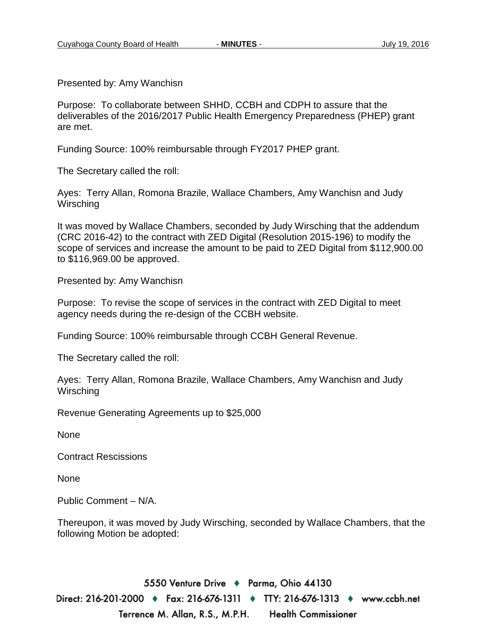Presented by: Amy Wanchisn

Purpose: To collaborate between SHHD, CCBH and CDPH to assure that the deliverables of the 2016/2017 Public Health Emergency Preparedness (PHEP) grant are met.

Funding Source: 100% reimbursable through FY2017 PHEP grant.

The Secretary called the roll:

Ayes: Terry Allan, Romona Brazile, Wallace Chambers, Amy Wanchisn and Judy **Wirsching** 

It was moved by Wallace Chambers, seconded by Judy Wirsching that the addendum (CRC 2016-42) to the contract with ZED Digital (Resolution 2015-196) to modify the scope of services and increase the amount to be paid to ZED Digital from \$112,900.00 to \$116,969.00 be approved.

Presented by: Amy Wanchisn

Purpose: To revise the scope of services in the contract with ZED Digital to meet agency needs during the re-design of the CCBH website.

Funding Source: 100% reimbursable through CCBH General Revenue.

The Secretary called the roll:

Ayes: Terry Allan, Romona Brazile, Wallace Chambers, Amy Wanchisn and Judy **Wirsching** 

Revenue Generating Agreements up to \$25,000

None

Contract Rescissions

None

Public Comment – N/A.

Thereupon, it was moved by Judy Wirsching, seconded by Wallace Chambers, that the following Motion be adopted:

5550 Venture Drive + Parma, Ohio 44130 Direct: 216-201-2000 ♦ Fax: 216-676-1311 ♦ TTY: 216-676-1313 ♦ www.ccbh.net Terrence M. Allan, R.S., M.P.H. **Health Commissioner**